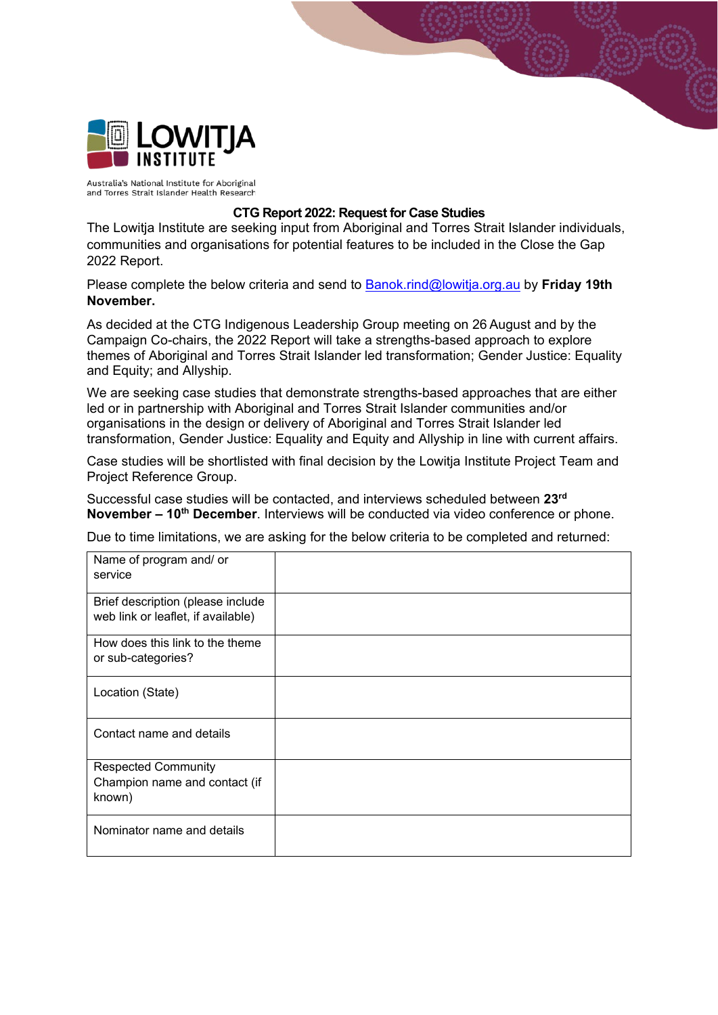

Australia's National Institute for Aboriginal and Torres Strait Islander Health Research

## **CTG Report 2022: Request for Case Studies**

The Lowitja Institute are seeking input from Aboriginal and Torres Strait Islander individuals, communities and organisations for potential features to be included in the Close the Gap 2022 Report.

Please complete the below criteria and send to [Banok.rind@lowitja.org.au](mailto:Banok.rind@lowitja.org.au) by **Friday 19th November.**

As decided at the CTG Indigenous Leadership Group meeting on 26 August and by the Campaign Co-chairs, the 2022 Report will take a strengths-based approach to explore themes of Aboriginal and Torres Strait Islander led transformation; Gender Justice: Equality and Equity; and Allyship.

We are seeking case studies that demonstrate strengths-based approaches that are either led or in partnership with Aboriginal and Torres Strait Islander communities and/or organisations in the design or delivery of Aboriginal and Torres Strait Islander led transformation, Gender Justice: Equality and Equity and Allyship in line with current affairs.

Case studies will be shortlisted with final decision by the Lowitja Institute Project Team and Project Reference Group.

Successful case studies will be contacted, and interviews scheduled between **23rd November – 10th December**. Interviews will be conducted via video conference or phone.

Due to time limitations, we are asking for the below criteria to be completed and returned:

| Name of program and/ or<br>service                                      |  |
|-------------------------------------------------------------------------|--|
| Brief description (please include<br>web link or leaflet, if available) |  |
| How does this link to the theme<br>or sub-categories?                   |  |
| Location (State)                                                        |  |
| Contact name and details                                                |  |
| <b>Respected Community</b><br>Champion name and contact (if<br>known)   |  |
| Nominator name and details                                              |  |